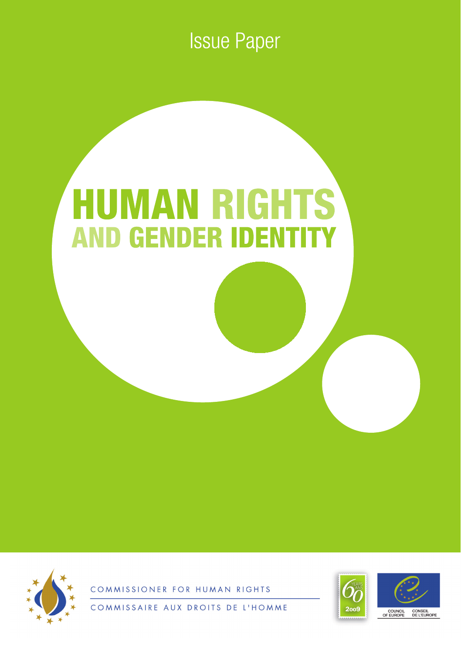**Issue Paper** 

# **HUMAN RIGHTS AND GENDER IDENTI**



FOR HUMAN RIGHTS COMMISSION



AUX DROITS DE L'HOMME COMMISSAIRE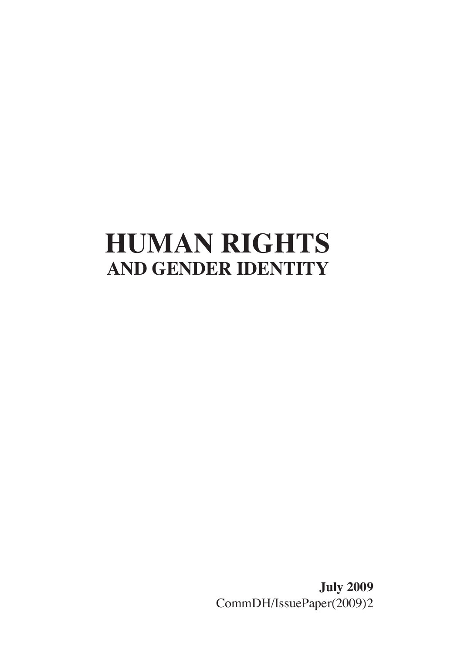## **HUMAN RIGHTS AND GENDER IDENTITY**

**July 2009** CommDH/IssuePaper(2009)2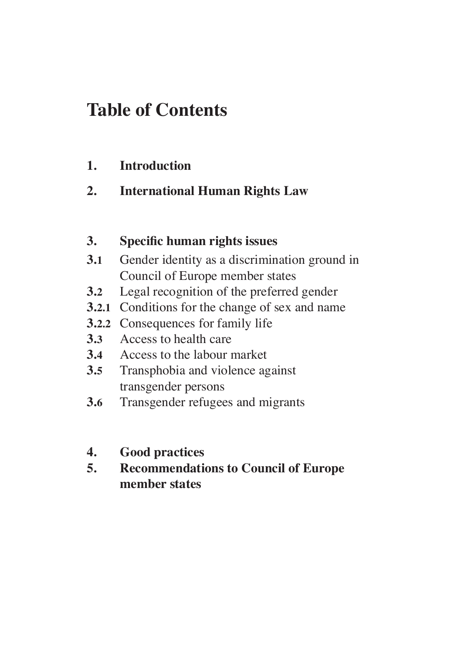### **Table of Contents**

#### **1. Introduction**

#### **2. International Human Rights Law**

#### **3. Specific human rights issues**

- **3.1** Gender identity as a discrimination ground in Council of Europe member states
- **3.2** Legal recognition of the preferred gender
- **3.2.1** Conditions for the change of sex and name
- **3.2.2** Consequences for family life
- **3.3** Access to health care
- **3.4** Access to the labour market
- **3.5** Transphobia and violence against transgender persons
- **3.6** Transgender refugees and migrants
- **4. Good practices**
- **5. Recommendations to Council of Europe member states**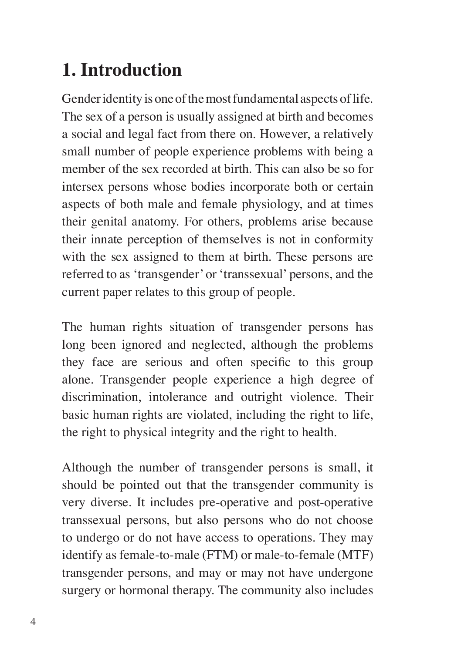## **1. Introduction**

Gender identity is one of the most fundamental aspects of life. The sex of a person is usually assigned at birth and becomes a social and legal fact from there on. However, a relatively small number of people experience problems with being a member of the sex recorded at birth. This can also be so for intersex persons whose bodies incorporate both or certain aspects of both male and female physiology, and at times their genital anatomy. For others, problems arise because their innate perception of themselves is not in conformity with the sex assigned to them at birth. These persons are referred to as 'transgender' or 'transsexual' persons, and the current paper relates to this group of people.

The human rights situation of transgender persons has long been ignored and neglected, although the problems they face are serious and often specific to this group alone. Transgender people experience a high degree of discrimination, intolerance and outright violence. Their basic human rights are violated, including the right to life, the right to physical integrity and the right to health.

Although the number of transgender persons is small, it should be pointed out that the transgender community is very diverse. It includes pre-operative and post-operative transsexual persons, but also persons who do not choose to undergo or do not have access to operations. They may identify as female-to-male (FTM) or male-to-female (MTF) transgender persons, and may or may not have undergone surgery or hormonal therapy. The community also includes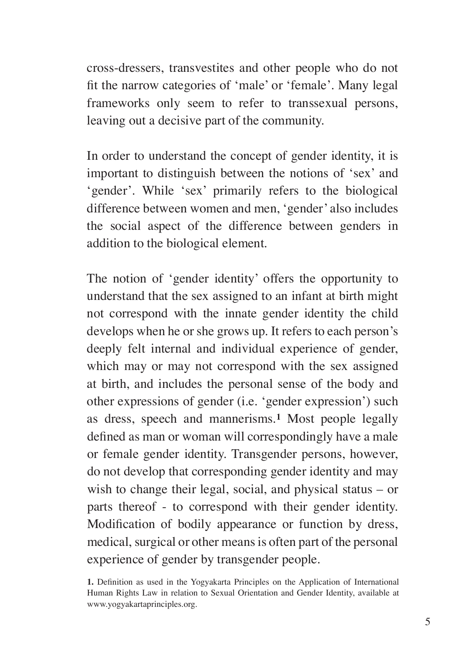cross-dressers, transvestites and other people who do not fit the narrow categories of 'male' or 'female'. Many legal frameworks only seem to refer to transsexual persons, leaving out a decisive part of the community.

In order to understand the concept of gender identity, it is important to distinguish between the notions of 'sex' and 'gender'. While 'sex' primarily refers to the biological difference between women and men, 'gender' also includes the social aspect of the difference between genders in addition to the biological element.

The notion of 'gender identity' offers the opportunity to understand that the sex assigned to an infant at birth might not correspond with the innate gender identity the child develops when he or she grows up. It refers to each person's deeply felt internal and individual experience of gender, which may or may not correspond with the sex assigned at birth, and includes the personal sense of the body and other expressions of gender (i.e. 'gender expression') such as dress, speech and mannerisms.**<sup>1</sup>** Most people legally defined as man or woman will correspondingly have a male or female gender identity. Transgender persons, however, do not develop that corresponding gender identity and may wish to change their legal, social, and physical status – or parts thereof - to correspond with their gender identity. Modification of bodily appearance or function by dress, medical, surgical or other means is often part of the personal experience of gender by transgender people.

**<sup>1.</sup>** Definition as used in the Yogyakarta Principles on the Application of International Human Rights Law in relation to Sexual Orientation and Gender Identity, available at www.yogyakartaprinciples.org.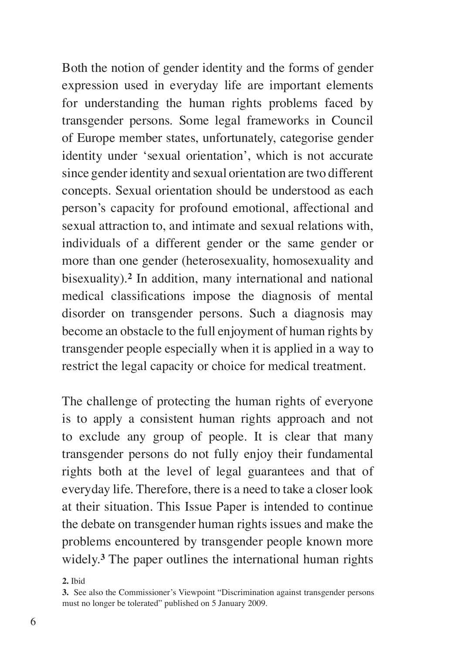Both the notion of gender identity and the forms of gender expression used in everyday life are important elements for understanding the human rights problems faced by transgender persons. Some legal frameworks in Council of Europe member states, unfortunately, categorise gender identity under 'sexual orientation', which is not accurate since gender identity and sexual orientation are two different concepts. Sexual orientation should be understood as each person's capacity for profound emotional, affectional and sexual attraction to, and intimate and sexual relations with, individuals of a different gender or the same gender or more than one gender (heterosexuality, homosexuality and bisexuality).**<sup>2</sup>** In addition, many international and national medical classifications impose the diagnosis of mental disorder on transgender persons. Such a diagnosis may become an obstacle to the full enjoyment of human rights by transgender people especially when it is applied in a way to restrict the legal capacity or choice for medical treatment.

The challenge of protecting the human rights of everyone is to apply a consistent human rights approach and not to exclude any group of people. It is clear that many transgender persons do not fully enjoy their fundamental rights both at the level of legal guarantees and that of everyday life. Therefore, there is a need to take a closer look at their situation. This Issue Paper is intended to continue the debate on transgender human rights issues and make the problems encountered by transgender people known more widely.**<sup>3</sup>** The paper outlines the international human rights

**2.** Ibid

**<sup>3.</sup>** See also the Commissioner's Viewpoint "Discrimination against transgender persons must no longer be tolerated" published on 5 January 2009.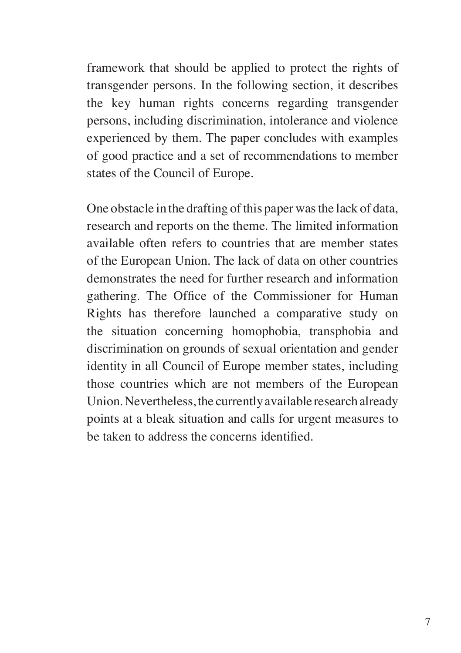framework that should be applied to protect the rights of transgender persons. In the following section, it describes the key human rights concerns regarding transgender persons, including discrimination, intolerance and violence experienced by them. The paper concludes with examples of good practice and a set of recommendations to member states of the Council of Europe.

One obstacle in the drafting of this paper was the lack of data, research and reports on the theme. The limited information available often refers to countries that are member states of the European Union. The lack of data on other countries demonstrates the need for further research and information gathering. The Office of the Commissioner for Human Rights has therefore launched a comparative study on the situation concerning homophobia, transphobia and discrimination on grounds of sexual orientation and gender identity in all Council of Europe member states, including those countries which are not members of the European Union. Nevertheless, the currently available research already points at a bleak situation and calls for urgent measures to be taken to address the concerns identified.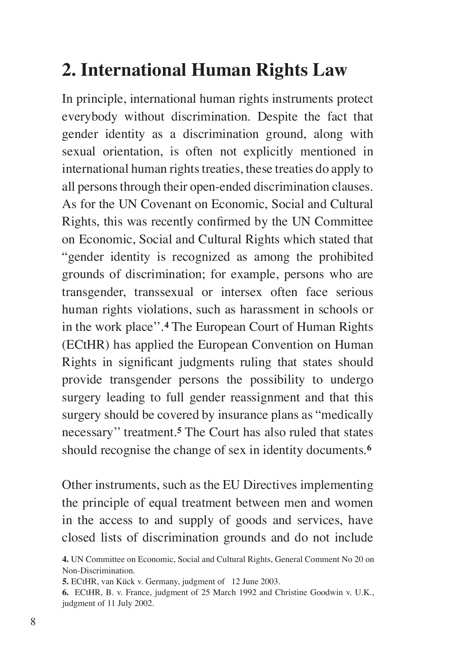## **2. International Human Rights Law**

In principle, international human rights instruments protect everybody without discrimination. Despite the fact that gender identity as a discrimination ground, along with sexual orientation, is often not explicitly mentioned in international human rights treaties, these treaties do apply to all persons through their open-ended discrimination clauses. As for the UN Covenant on Economic, Social and Cultural Rights, this was recently confirmed by the UN Committee on Economic, Social and Cultural Rights which stated that "gender identity is recognized as among the prohibited grounds of discrimination; for example, persons who are transgender, transsexual or intersex often face serious human rights violations, such as harassment in schools or in the work place''.**<sup>4</sup>** The European Court of Human Rights (ECtHR) has applied the European Convention on Human Rights in significant judgments ruling that states should provide transgender persons the possibility to undergo surgery leading to full gender reassignment and that this surgery should be covered by insurance plans as "medically necessary'' treatment.**<sup>5</sup>** The Court has also ruled that states should recognise the change of sex in identity documents.**<sup>6</sup>**

Other instruments, such as the EU Directives implementing the principle of equal treatment between men and women in the access to and supply of goods and services, have closed lists of discrimination grounds and do not include

**<sup>4.</sup>** UN Committee on Economic, Social and Cultural Rights, General Comment No 20 on Non-Discrimination.

**<sup>5.</sup>** ECtHR, van Kück v. Germany, judgment of 12 June 2003.

**<sup>6.</sup>** ECtHR, B. v. France, judgment of 25 March 1992 and Christine Goodwin v. U.K., judgment of 11 July 2002.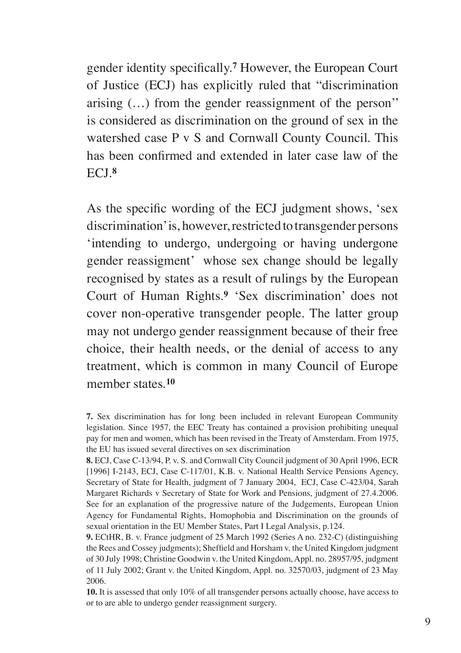gender identity specifically.**<sup>7</sup>** However, the European Court of Justice (ECJ) has explicitly ruled that "discrimination arising (…) from the gender reassignment of the person'' is considered as discrimination on the ground of sex in the watershed case P v S and Cornwall County Council. This has been confirmed and extended in later case law of the ECJ.**<sup>8</sup>**

As the specific wording of the ECJ judgment shows, 'sex discrimination' is, however, restricted to transgender persons 'intending to undergo, undergoing or having undergone gender reassigment' whose sex change should be legally recognised by states as a result of rulings by the European Court of Human Rights.**<sup>9</sup>** 'Sex discrimination' does not cover non-operative transgender people. The latter group may not undergo gender reassignment because of their free choice, their health needs, or the denial of access to any treatment, which is common in many Council of Europe member states.**<sup>10</sup>**

**<sup>7.</sup>** Sex discrimination has for long been included in relevant European Community legislation. Since 1957, the EEC Treaty has contained a provision prohibiting unequal pay for men and women, which has been revised in the Treaty of Amsterdam. From 1975, the EU has issued several directives on sex discrimination

**<sup>8.</sup>** ECJ, Case C-13/94, P. v. S. and Cornwall City Council judgment of 30 April 1996, ECR [1996] I-2143, ECJ, Case C-117/01, K.B. v. National Health Service Pensions Agency, Secretary of State for Health, judgment of 7 January 2004, ECJ, Case C-423/04, Sarah Margaret Richards v Secretary of State for Work and Pensions, judgment of 27.4.2006. See for an explanation of the progressive nature of the Judgements, European Union Agency for Fundamental Rights, Homophobia and Discrimination on the grounds of sexual orientation in the EU Member States, Part I Legal Analysis, p.124.

**<sup>9.</sup>** ECtHR, B. v. France judgment of 25 March 1992 (Series A no. 232-C) (distinguishing the Rees and Cossey judgments); Sheffield and Horsham v. the United Kingdom judgment of 30 July 1998; Christine Goodwin v. the United Kingdom, Appl. no. 28957/95, judgment of 11 July 2002; Grant v. the United Kingdom, Appl. no. 32570/03, judgment of 23 May 2006.

**<sup>10.</sup>** It is assessed that only 10% of all transgender persons actually choose, have access to or to are able to undergo gender reassignment surgery.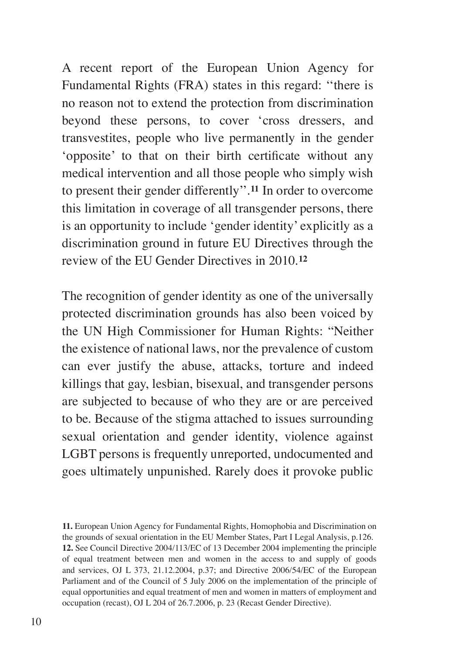A recent report of the European Union Agency for Fundamental Rights (FRA) states in this regard: ''there is no reason not to extend the protection from discrimination beyond these persons, to cover 'cross dressers, and transvestites, people who live permanently in the gender 'opposite' to that on their birth certificate without any medical intervention and all those people who simply wish to present their gender differently''.**<sup>11</sup>** In order to overcome this limitation in coverage of all transgender persons, there is an opportunity to include 'gender identity' explicitly as a discrimination ground in future EU Directives through the review of the EU Gender Directives in 2010.**<sup>12</sup>**

The recognition of gender identity as one of the universally protected discrimination grounds has also been voiced by the UN High Commissioner for Human Rights: "Neither the existence of national laws, nor the prevalence of custom can ever justify the abuse, attacks, torture and indeed killings that gay, lesbian, bisexual, and transgender persons are subjected to because of who they are or are perceived to be. Because of the stigma attached to issues surrounding sexual orientation and gender identity, violence against LGBT persons is frequently unreported, undocumented and goes ultimately unpunished. Rarely does it provoke public

**11.** European Union Agency for Fundamental Rights, Homophobia and Discrimination on the grounds of sexual orientation in the EU Member States, Part I Legal Analysis, p.126. **12.** See Council Directive 2004/113/EC of 13 December 2004 implementing the principle of equal treatment between men and women in the access to and supply of goods and services, OJ L 373, 21.12.2004, p.37; and Directive 2006/54/EC of the European Parliament and of the Council of 5 July 2006 on the implementation of the principle of equal opportunities and equal treatment of men and women in matters of employment and occupation (recast), OJ L 204 of 26.7.2006, p. 23 (Recast Gender Directive).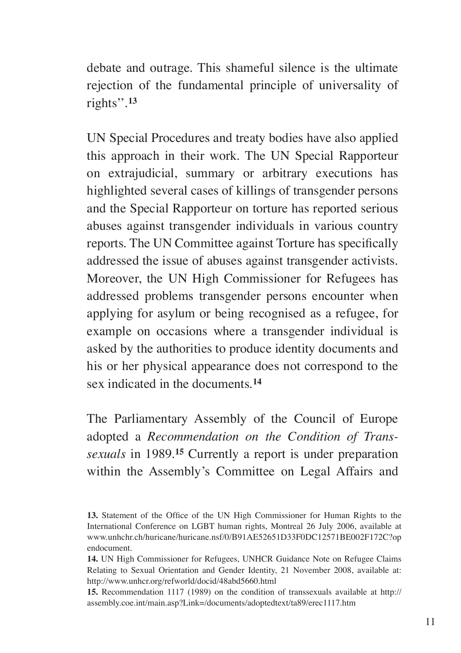debate and outrage. This shameful silence is the ultimate rejection of the fundamental principle of universality of rights''.**<sup>13</sup>**

UN Special Procedures and treaty bodies have also applied this approach in their work. The UN Special Rapporteur on extrajudicial, summary or arbitrary executions has highlighted several cases of killings of transgender persons and the Special Rapporteur on torture has reported serious abuses against transgender individuals in various country reports. The UN Committee against Torture has specifically addressed the issue of abuses against transgender activists. Moreover, the UN High Commissioner for Refugees has addressed problems transgender persons encounter when applying for asylum or being recognised as a refugee, for example on occasions where a transgender individual is asked by the authorities to produce identity documents and his or her physical appearance does not correspond to the sex indicated in the documents.**<sup>14</sup>**

The Parliamentary Assembly of the Council of Europe adopted a *Recommendation on the Condition of Transsexuals* in 1989.**<sup>15</sup>** Currently a report is under preparation within the Assembly's Committee on Legal Affairs and

**15.** Recommendation 1117 (1989) on the condition of transsexuals available at http:// assembly.coe.int/main.asp?Link=/documents/adoptedtext/ta89/erec1117.htm

**<sup>13.</sup>** Statement of the Office of the UN High Commissioner for Human Rights to the International Conference on LGBT human rights, Montreal 26 July 2006, available at www.unhchr.ch/huricane/huricane.nsf/0/B91AE52651D33F0DC12571BE002F172C?op endocument.

**<sup>14.</sup>** UN High Commissioner for Refugees, UNHCR Guidance Note on Refugee Claims Relating to Sexual Orientation and Gender Identity, 21 November 2008, available at: http://www.unhcr.org/refworld/docid/48abd5660.html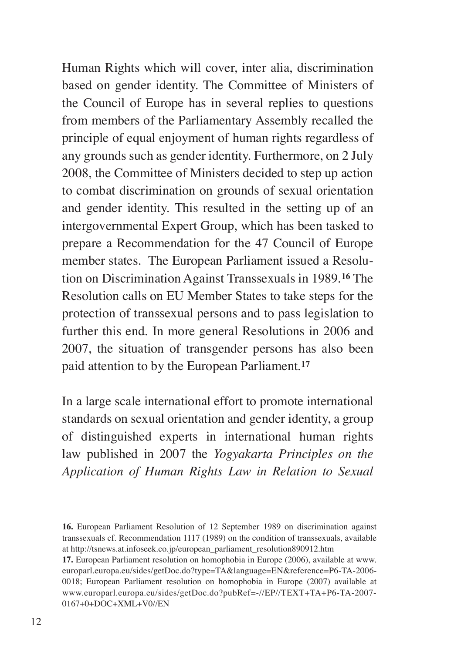Human Rights which will cover, inter alia, discrimination based on gender identity. The Committee of Ministers of the Council of Europe has in several replies to questions from members of the Parliamentary Assembly recalled the principle of equal enjoyment of human rights regardless of any grounds such as gender identity. Furthermore, on 2 July 2008, the Committee of Ministers decided to step up action to combat discrimination on grounds of sexual orientation and gender identity. This resulted in the setting up of an intergovernmental Expert Group, which has been tasked to prepare a Recommendation for the 47 Council of Europe member states. The European Parliament issued a Resolution on Discrimination Against Transsexuals in 1989.**<sup>16</sup>** The Resolution calls on EU Member States to take steps for the protection of transsexual persons and to pass legislation to further this end. In more general Resolutions in 2006 and 2007, the situation of transgender persons has also been paid attention to by the European Parliament.**<sup>17</sup>**

In a large scale international effort to promote international standards on sexual orientation and gender identity, a group of distinguished experts in international human rights law published in 2007 the *Yogyakarta Principles on the Application of Human Rights Law in Relation to Sexual* 

**<sup>16.</sup>** European Parliament Resolution of 12 September 1989 on discrimination against transsexuals cf. Recommendation 1117 (1989) on the condition of transsexuals, available at http://tsnews.at.infoseek.co.jp/european\_parliament\_resolution890912.htm

**<sup>17.</sup>** European Parliament resolution on homophobia in Europe (2006), available at www. europarl.europa.eu/sides/getDoc.do?type=TA&language=EN&reference=P6-TA-2006- 0018; European Parliament resolution on homophobia in Europe (2007) available at www.europarl.europa.eu/sides/getDoc.do?pubRef=-//EP//TEXT+TA+P6-TA-2007- 0167+0+DOC+XML+V0//EN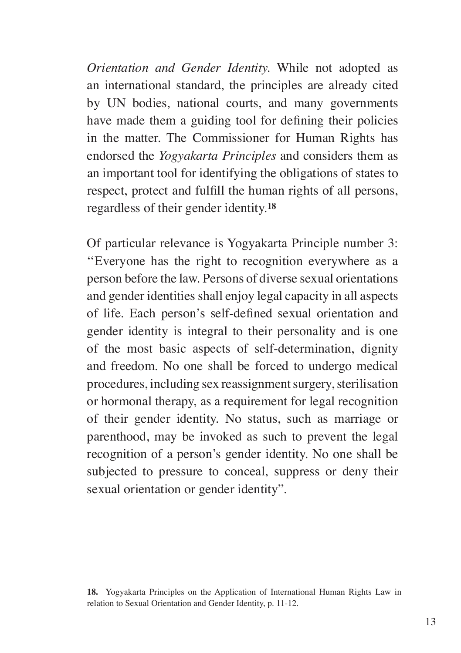*Orientation and Gender Identity.* While not adopted as an international standard, the principles are already cited by UN bodies, national courts, and many governments have made them a guiding tool for defining their policies in the matter. The Commissioner for Human Rights has endorsed the *Yogyakarta Principles* and considers them as an important tool for identifying the obligations of states to respect, protect and fulfill the human rights of all persons, regardless of their gender identity.**<sup>18</sup>**

Of particular relevance is Yogyakarta Principle number 3: ''Everyone has the right to recognition everywhere as a person before the law. Persons of diverse sexual orientations and gender identities shall enjoy legal capacity in all aspects of life. Each person's self-defined sexual orientation and gender identity is integral to their personality and is one of the most basic aspects of self-determination, dignity and freedom. No one shall be forced to undergo medical procedures, including sex reassignment surgery, sterilisation or hormonal therapy, as a requirement for legal recognition of their gender identity. No status, such as marriage or parenthood, may be invoked as such to prevent the legal recognition of a person's gender identity. No one shall be subjected to pressure to conceal, suppress or deny their sexual orientation or gender identity".

**<sup>18.</sup>** Yogyakarta Principles on the Application of International Human Rights Law in relation to Sexual Orientation and Gender Identity, p. 11-12.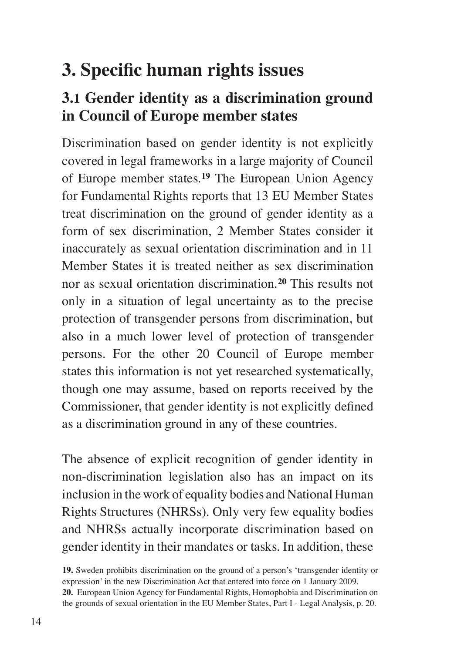## **3. Specific human rights issues**

#### **3.1 Gender identity as a discrimination ground in Council of Europe member states**

Discrimination based on gender identity is not explicitly covered in legal frameworks in a large majority of Council of Europe member states.**<sup>19</sup>** The European Union Agency for Fundamental Rights reports that 13 EU Member States treat discrimination on the ground of gender identity as a form of sex discrimination, 2 Member States consider it inaccurately as sexual orientation discrimination and in 11 Member States it is treated neither as sex discrimination nor as sexual orientation discrimination.**<sup>20</sup>** This results not only in a situation of legal uncertainty as to the precise protection of transgender persons from discrimination, but also in a much lower level of protection of transgender persons. For the other 20 Council of Europe member states this information is not yet researched systematically, though one may assume, based on reports received by the Commissioner, that gender identity is not explicitly defined as a discrimination ground in any of these countries.

The absence of explicit recognition of gender identity in non-discrimination legislation also has an impact on its inclusion in the work of equality bodies and National Human Rights Structures (NHRSs). Only very few equality bodies and NHRSs actually incorporate discrimination based on gender identity in their mandates or tasks. In addition, these

**<sup>19.</sup>** Sweden prohibits discrimination on the ground of a person's 'transgender identity or expression' in the new Discrimination Act that entered into force on 1 January 2009.

**<sup>20.</sup>** European Union Agency for Fundamental Rights, Homophobia and Discrimination on the grounds of sexual orientation in the EU Member States, Part I - Legal Analysis, p. 20.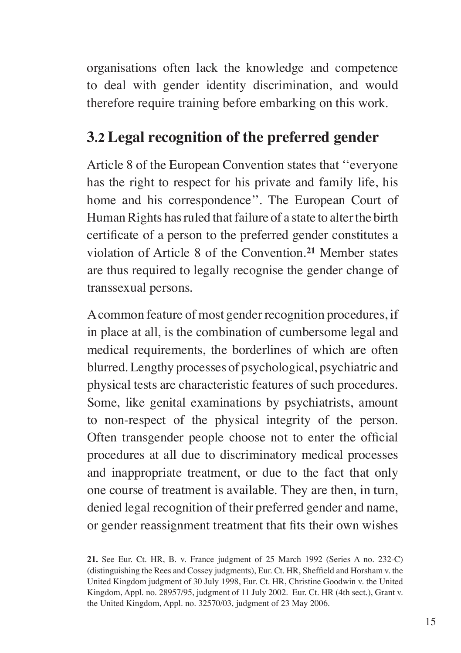organisations often lack the knowledge and competence to deal with gender identity discrimination, and would therefore require training before embarking on this work.

#### **3.2 Legal recognition of the preferred gender**

Article 8 of the European Convention states that ''everyone has the right to respect for his private and family life, his home and his correspondence''. The European Court of Human Rights has ruled that failure of a state to alter the birth certificate of a person to the preferred gender constitutes a violation of Article 8 of the Convention.**<sup>21</sup>** Member states are thus required to legally recognise the gender change of transsexual persons.

A common feature of most gender recognition procedures, if in place at all, is the combination of cumbersome legal and medical requirements, the borderlines of which are often blurred. Lengthy processes of psychological, psychiatric and physical tests are characteristic features of such procedures. Some, like genital examinations by psychiatrists, amount to non-respect of the physical integrity of the person. Often transgender people choose not to enter the official procedures at all due to discriminatory medical processes and inappropriate treatment, or due to the fact that only one course of treatment is available. They are then, in turn, denied legal recognition of their preferred gender and name, or gender reassignment treatment that fits their own wishes

**<sup>21.</sup>** See Eur. Ct. HR, B. v. France judgment of 25 March 1992 (Series A no. 232-C) (distinguishing the Rees and Cossey judgments), Eur. Ct. HR, Sheffield and Horsham v. the United Kingdom judgment of 30 July 1998, Eur. Ct. HR, Christine Goodwin v. the United Kingdom, Appl. no. 28957/95, judgment of 11 July 2002. Eur. Ct. HR (4th sect.), Grant v. the United Kingdom, Appl. no. 32570/03, judgment of 23 May 2006.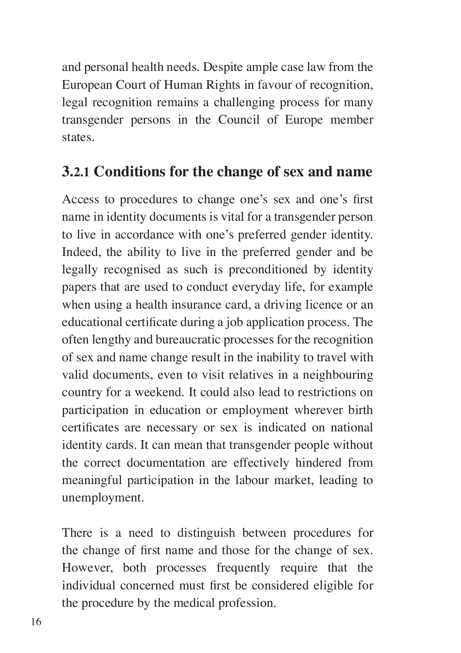and personal health needs. Despite ample case law from the European Court of Human Rights in favour of recognition, legal recognition remains a challenging process for many transgender persons in the Council of Europe member states.

#### **3.2.1 Conditions for the change of sex and name**

Access to procedures to change one's sex and one's first name in identity documents is vital for a transgender person to live in accordance with one's preferred gender identity. Indeed, the ability to live in the preferred gender and be legally recognised as such is preconditioned by identity papers that are used to conduct everyday life, for example when using a health insurance card, a driving licence or an educational certificate during a job application process. The often lengthy and bureaucratic processes for the recognition of sex and name change result in the inability to travel with valid documents, even to visit relatives in a neighbouring country for a weekend. It could also lead to restrictions on participation in education or employment wherever birth certificates are necessary or sex is indicated on national identity cards. It can mean that transgender people without the correct documentation are effectively hindered from meaningful participation in the labour market, leading to unemployment.

There is a need to distinguish between procedures for the change of first name and those for the change of sex. However, both processes frequently require that the individual concerned must first be considered eligible for the procedure by the medical profession.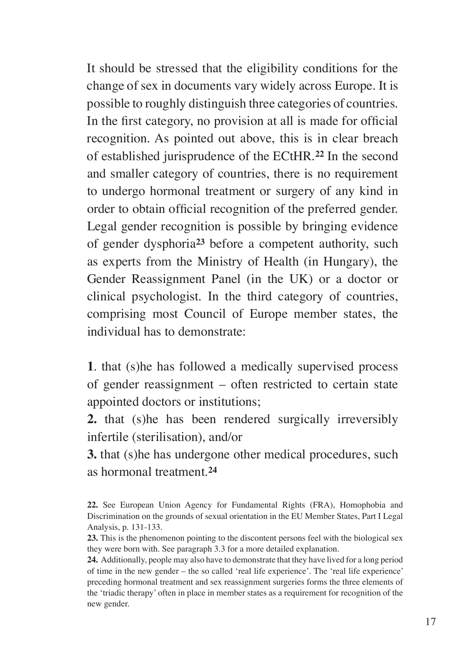It should be stressed that the eligibility conditions for the change of sex in documents vary widely across Europe. It is possible to roughly distinguish three categories of countries. In the first category, no provision at all is made for official recognition. As pointed out above, this is in clear breach of established jurisprudence of the ECtHR.**<sup>22</sup>** In the second and smaller category of countries, there is no requirement to undergo hormonal treatment or surgery of any kind in order to obtain official recognition of the preferred gender. Legal gender recognition is possible by bringing evidence of gender dysphoria**<sup>23</sup>** before a competent authority, such as experts from the Ministry of Health (in Hungary), the Gender Reassignment Panel (in the UK) or a doctor or clinical psychologist. In the third category of countries, comprising most Council of Europe member states, the individual has to demonstrate:

**1**. that (s)he has followed a medically supervised process of gender reassignment – often restricted to certain state appointed doctors or institutions;

**2.** that (s)he has been rendered surgically irreversibly infertile (sterilisation), and/or

**3.** that (s)he has undergone other medical procedures, such as hormonal treatment.**<sup>24</sup>**

**24.** Additionally, people may also have to demonstrate that they have lived for a long period of time in the new gender – the so called 'real life experience'. The 'real life experience' preceding hormonal treatment and sex reassignment surgeries forms the three elements of the 'triadic therapy' often in place in member states as a requirement for recognition of the new gender.

**<sup>22.</sup>** See European Union Agency for Fundamental Rights (FRA), Homophobia and Discrimination on the grounds of sexual orientation in the EU Member States, Part I Legal Analysis, p. 131-133.

**<sup>23.</sup>** This is the phenomenon pointing to the discontent persons feel with the biological sex they were born with. See paragraph 3.3 for a more detailed explanation.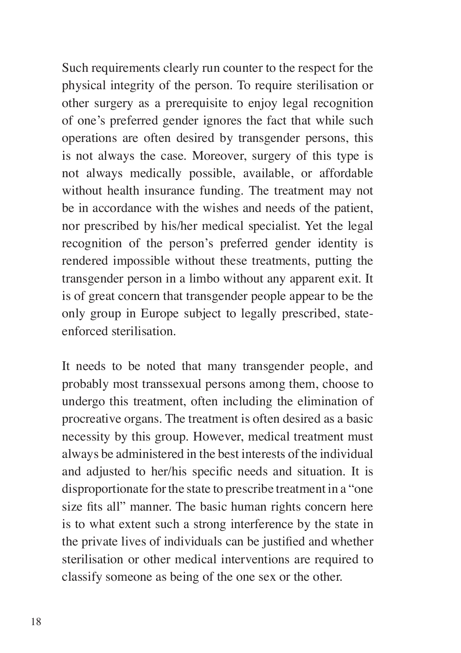Such requirements clearly run counter to the respect for the physical integrity of the person. To require sterilisation or other surgery as a prerequisite to enjoy legal recognition of one's preferred gender ignores the fact that while such operations are often desired by transgender persons, this is not always the case. Moreover, surgery of this type is not always medically possible, available, or affordable without health insurance funding. The treatment may not be in accordance with the wishes and needs of the patient, nor prescribed by his/her medical specialist. Yet the legal recognition of the person's preferred gender identity is rendered impossible without these treatments, putting the transgender person in a limbo without any apparent exit. It is of great concern that transgender people appear to be the only group in Europe subject to legally prescribed, stateenforced sterilisation.

It needs to be noted that many transgender people, and probably most transsexual persons among them, choose to undergo this treatment, often including the elimination of procreative organs. The treatment is often desired as a basic necessity by this group. However, medical treatment must always be administered in the best interests of the individual and adjusted to her/his specific needs and situation. It is disproportionate for the state to prescribe treatment in a "one size fits all" manner. The basic human rights concern here is to what extent such a strong interference by the state in the private lives of individuals can be justified and whether sterilisation or other medical interventions are required to classify someone as being of the one sex or the other.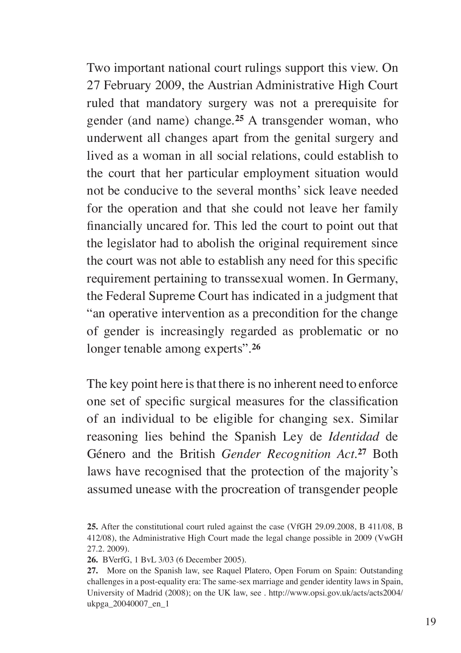Two important national court rulings support this view. On 27 February 2009, the Austrian Administrative High Court ruled that mandatory surgery was not a prerequisite for gender (and name) change.**<sup>25</sup>** A transgender woman, who underwent all changes apart from the genital surgery and lived as a woman in all social relations, could establish to the court that her particular employment situation would not be conducive to the several months' sick leave needed for the operation and that she could not leave her family financially uncared for. This led the court to point out that the legislator had to abolish the original requirement since the court was not able to establish any need for this specific requirement pertaining to transsexual women. In Germany, the Federal Supreme Court has indicated in a judgment that "an operative intervention as a precondition for the change of gender is increasingly regarded as problematic or no longer tenable among experts".**<sup>26</sup>**

The key point here is that there is no inherent need to enforce one set of specific surgical measures for the classification of an individual to be eligible for changing sex. Similar reasoning lies behind the Spanish Ley de *Identidad* de Género and the British *Gender Recognition Act*.**<sup>27</sup>** Both laws have recognised that the protection of the majority's assumed unease with the procreation of transgender people

**<sup>25.</sup>** After the constitutional court ruled against the case (VfGH 29.09.2008, B 411/08, B 412/08), the Administrative High Court made the legal change possible in 2009 (VwGH 27.2. 2009).

**<sup>26.</sup>** BVerfG, 1 BvL 3/03 (6 December 2005).

**<sup>27.</sup>** More on the Spanish law, see Raquel Platero, Open Forum on Spain: Outstanding challenges in a post-equality era: The same-sex marriage and gender identity laws in Spain, University of Madrid (2008); on the UK law, see . http://www.opsi.gov.uk/acts/acts2004/ ukpga\_20040007\_en\_1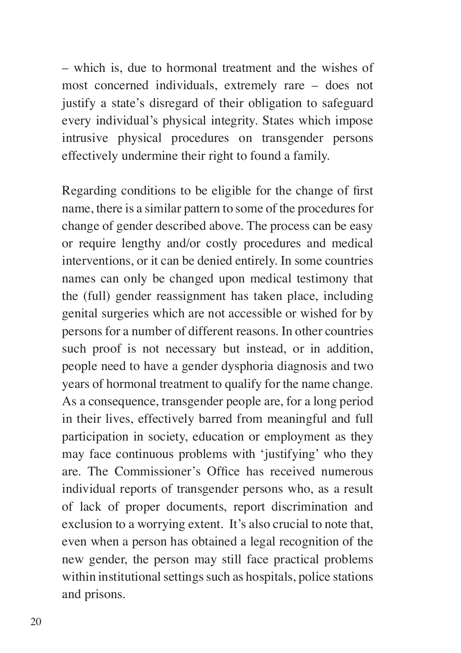– which is, due to hormonal treatment and the wishes of most concerned individuals, extremely rare – does not justify a state's disregard of their obligation to safeguard every individual's physical integrity. States which impose intrusive physical procedures on transgender persons effectively undermine their right to found a family.

Regarding conditions to be eligible for the change of first name, there is a similar pattern to some of the procedures for change of gender described above. The process can be easy or require lengthy and/or costly procedures and medical interventions, or it can be denied entirely. In some countries names can only be changed upon medical testimony that the (full) gender reassignment has taken place, including genital surgeries which are not accessible or wished for by persons for a number of different reasons. In other countries such proof is not necessary but instead, or in addition, people need to have a gender dysphoria diagnosis and two years of hormonal treatment to qualify for the name change. As a consequence, transgender people are, for a long period in their lives, effectively barred from meaningful and full participation in society, education or employment as they may face continuous problems with 'justifying' who they are. The Commissioner's Office has received numerous individual reports of transgender persons who, as a result of lack of proper documents, report discrimination and exclusion to a worrying extent. It's also crucial to note that, even when a person has obtained a legal recognition of the new gender, the person may still face practical problems within institutional settings such as hospitals, police stations and prisons.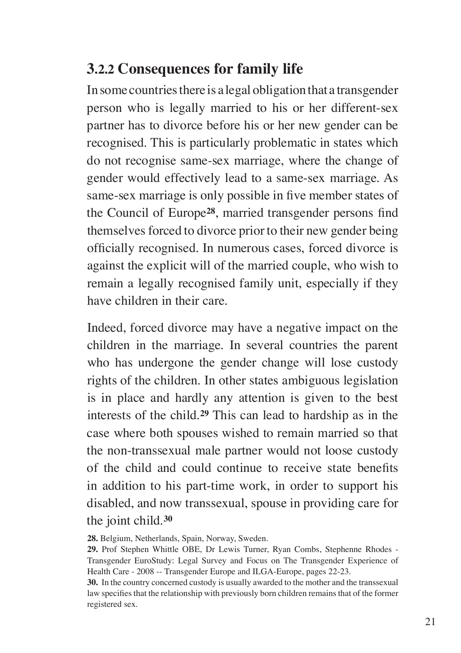#### **3.2.2 Consequences for family life**

In some countries there is a legal obligation that a transgender person who is legally married to his or her different-sex partner has to divorce before his or her new gender can be recognised. This is particularly problematic in states which do not recognise same-sex marriage, where the change of gender would effectively lead to a same-sex marriage. As same-sex marriage is only possible in five member states of the Council of Europe**<sup>28</sup>**, married transgender persons find themselves forced to divorce prior to their new gender being officially recognised. In numerous cases, forced divorce is against the explicit will of the married couple, who wish to remain a legally recognised family unit, especially if they have children in their care.

Indeed, forced divorce may have a negative impact on the children in the marriage. In several countries the parent who has undergone the gender change will lose custody rights of the children. In other states ambiguous legislation is in place and hardly any attention is given to the best interests of the child.**<sup>29</sup>** This can lead to hardship as in the case where both spouses wished to remain married so that the non-transsexual male partner would not loose custody of the child and could continue to receive state benefits in addition to his part-time work, in order to support his disabled, and now transsexual, spouse in providing care for the joint child.**<sup>30</sup>**

**28.** Belgium, Netherlands, Spain, Norway, Sweden.

**29.** Prof Stephen Whittle OBE, Dr Lewis Turner, Ryan Combs, Stephenne Rhodes - Transgender EuroStudy: Legal Survey and Focus on The Transgender Experience of Health Care - 2008 -- Transgender Europe and ILGA-Europe, pages 22-23.

**30.** In the country concerned custody is usually awarded to the mother and the transsexual law specifies that the relationship with previously born children remains that of the former registered sex.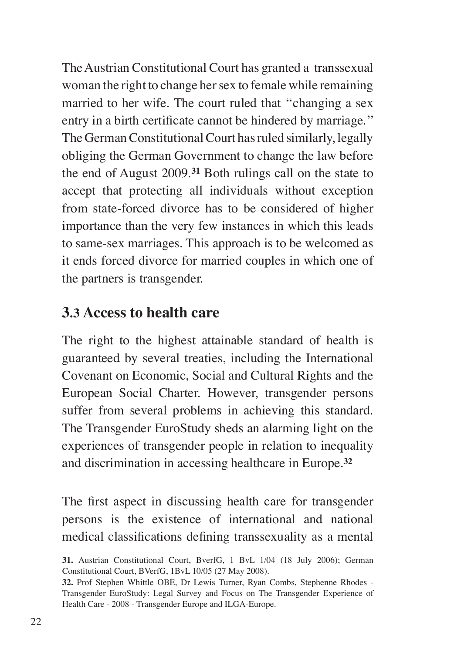The Austrian Constitutional Court has granted a transsexual woman the right to change her sex to female while remaining married to her wife. The court ruled that ''changing a sex entry in a birth certificate cannot be hindered by marriage.'' The German Constitutional Court has ruled similarly, legally obliging the German Government to change the law before the end of August 2009.**<sup>31</sup>** Both rulings call on the state to accept that protecting all individuals without exception from state-forced divorce has to be considered of higher importance than the very few instances in which this leads to same-sex marriages. This approach is to be welcomed as it ends forced divorce for married couples in which one of the partners is transgender.

#### **3.3 Access to health care**

The right to the highest attainable standard of health is guaranteed by several treaties, including the International Covenant on Economic, Social and Cultural Rights and the European Social Charter. However, transgender persons suffer from several problems in achieving this standard. The Transgender EuroStudy sheds an alarming light on the experiences of transgender people in relation to inequality and discrimination in accessing healthcare in Europe.**<sup>32</sup>**

The first aspect in discussing health care for transgender persons is the existence of international and national medical classifications defining transsexuality as a mental

**<sup>31.</sup>** Austrian Constitutional Court, BverfG, 1 BvL 1/04 (18 July 2006); German Constitutional Court, BVerfG, 1BvL 10/05 (27 May 2008).

**<sup>32.</sup>** Prof Stephen Whittle OBE, Dr Lewis Turner, Ryan Combs, Stephenne Rhodes - Transgender EuroStudy: Legal Survey and Focus on The Transgender Experience of Health Care - 2008 - Transgender Europe and ILGA-Europe.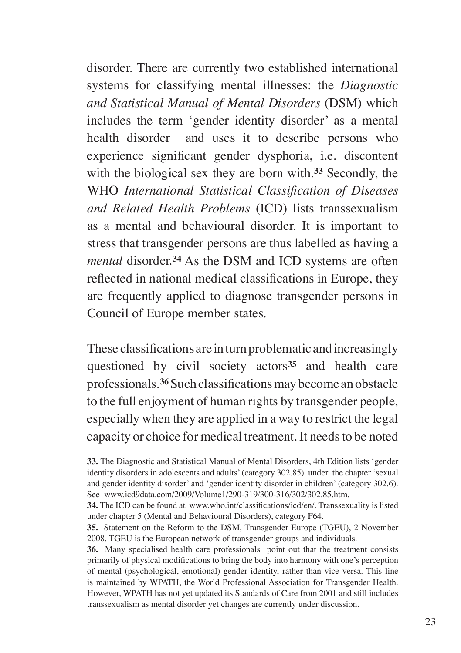disorder. There are currently two established international systems for classifying mental illnesses: the *Diagnostic and Statistical Manual of Mental Disorders* (DSM) which includes the term 'gender identity disorder' as a mental health disorder and uses it to describe persons who experience significant gender dysphoria, i.e. discontent with the biological sex they are born with.**<sup>33</sup>** Secondly, the WHO *International Statistical Classification of Diseases and Related Health Problems* (ICD) lists transsexualism as a mental and behavioural disorder. It is important to stress that transgender persons are thus labelled as having a *mental* disorder.**<sup>34</sup>** As the DSM and ICD systems are often reflected in national medical classifications in Europe, they are frequently applied to diagnose transgender persons in Council of Europe member states.

These classifications are in turn problematic and increasingly questioned by civil society actors**<sup>35</sup>** and health care professionals.**<sup>36</sup>** Such classifications may become an obstacle to the full enjoyment of human rights by transgender people, especially when they are applied in a way to restrict the legal capacity or choice for medical treatment. It needs to be noted

**36.** Many specialised health care professionals point out that the treatment consists primarily of physical modifications to bring the body into harmony with one's perception of mental (psychological, emotional) gender identity, rather than vice versa. This line is maintained by WPATH, the World Professional Association for Transgender Health. However, WPATH has not yet updated its Standards of Care from 2001 and still includes transsexualism as mental disorder yet changes are currently under discussion.

**<sup>33.</sup>** The Diagnostic and Statistical Manual of Mental Disorders, 4th Edition lists 'gender identity disorders in adolescents and adults' (category 302.85) under the chapter 'sexual and gender identity disorder' and 'gender identity disorder in children' (category 302.6). See www.icd9data.com/2009/Volume1/290-319/300-316/302/302.85.htm.

**<sup>34.</sup>** The ICD can be found at www.who.int/classifications/icd/en/. Transsexuality is listed under chapter 5 (Mental and Behavioural Disorders), category F64.

**<sup>35.</sup>** Statement on the Reform to the DSM, Transgender Europe (TGEU), 2 November 2008. TGEU is the European network of transgender groups and individuals.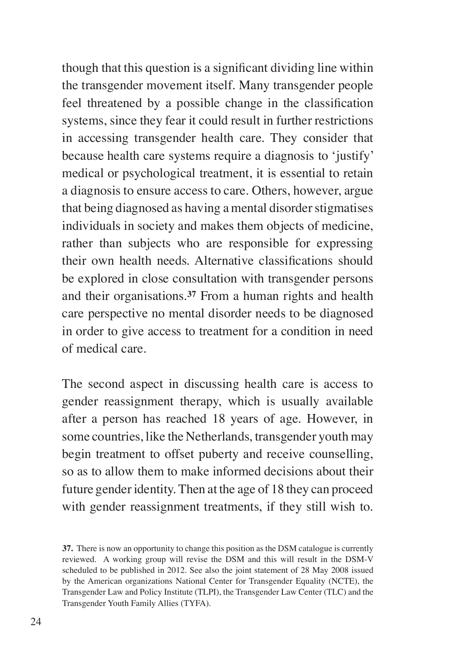though that this question is a significant dividing line within the transgender movement itself. Many transgender people feel threatened by a possible change in the classification systems, since they fear it could result in further restrictions in accessing transgender health care. They consider that because health care systems require a diagnosis to 'justify' medical or psychological treatment, it is essential to retain a diagnosis to ensure access to care. Others, however, argue that being diagnosed as having a mental disorder stigmatises individuals in society and makes them objects of medicine, rather than subjects who are responsible for expressing their own health needs. Alternative classifications should be explored in close consultation with transgender persons and their organisations.**<sup>37</sup>** From a human rights and health care perspective no mental disorder needs to be diagnosed in order to give access to treatment for a condition in need of medical care.

The second aspect in discussing health care is access to gender reassignment therapy, which is usually available after a person has reached 18 years of age. However, in some countries, like the Netherlands, transgender youth may begin treatment to offset puberty and receive counselling, so as to allow them to make informed decisions about their future gender identity. Then at the age of 18 they can proceed with gender reassignment treatments, if they still wish to.

**<sup>37.</sup>** There is now an opportunity to change this position as the DSM catalogue is currently reviewed. A working group will revise the DSM and this will result in the DSM-V scheduled to be published in 2012. See also the joint statement of 28 May 2008 issued by the American organizations National Center for Transgender Equality (NCTE), the Transgender Law and Policy Institute (TLPI), the Transgender Law Center (TLC) and the Transgender Youth Family Allies (TYFA).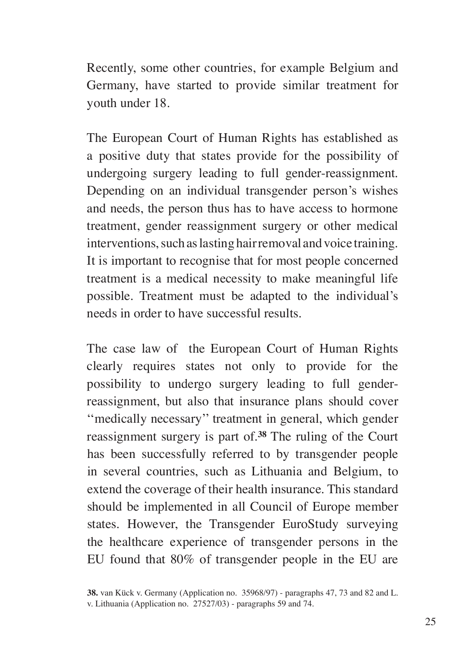Recently, some other countries, for example Belgium and Germany, have started to provide similar treatment for youth under 18.

The European Court of Human Rights has established as a positive duty that states provide for the possibility of undergoing surgery leading to full gender-reassignment. Depending on an individual transgender person's wishes and needs, the person thus has to have access to hormone treatment, gender reassignment surgery or other medical interventions, such as lasting hair removal and voice training. It is important to recognise that for most people concerned treatment is a medical necessity to make meaningful life possible. Treatment must be adapted to the individual's needs in order to have successful results.

The case law of the European Court of Human Rights clearly requires states not only to provide for the possibility to undergo surgery leading to full genderreassignment, but also that insurance plans should cover ''medically necessary'' treatment in general, which gender reassignment surgery is part of.**<sup>38</sup>** The ruling of the Court has been successfully referred to by transgender people in several countries, such as Lithuania and Belgium, to extend the coverage of their health insurance. This standard should be implemented in all Council of Europe member states. However, the Transgender EuroStudy surveying the healthcare experience of transgender persons in the EU found that 80% of transgender people in the EU are

**<sup>38.</sup>** van Kück v. Germany (Application no. 35968/97) - paragraphs 47, 73 and 82 and L. v. Lithuania (Application no. 27527/03) - paragraphs 59 and 74.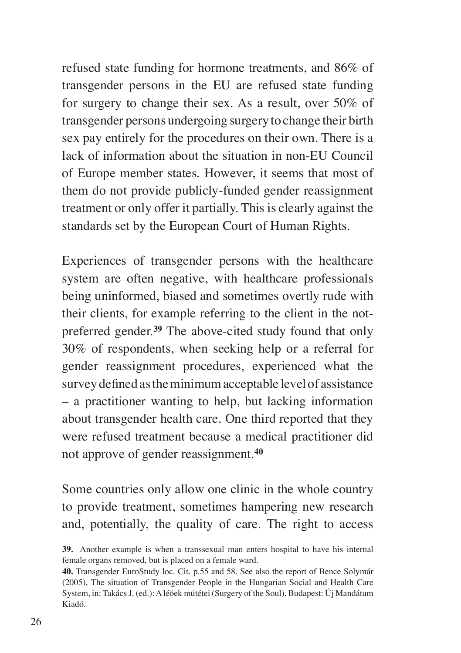refused state funding for hormone treatments, and 86% of transgender persons in the EU are refused state funding for surgery to change their sex. As a result, over 50% of transgender persons undergoing surgery to change their birth sex pay entirely for the procedures on their own. There is a lack of information about the situation in non-EU Council of Europe member states. However, it seems that most of them do not provide publicly-funded gender reassignment treatment or only offer it partially. This is clearly against the standards set by the European Court of Human Rights.

Experiences of transgender persons with the healthcare system are often negative, with healthcare professionals being uninformed, biased and sometimes overtly rude with their clients, for example referring to the client in the notpreferred gender.**<sup>39</sup>** The above-cited study found that only 30% of respondents, when seeking help or a referral for gender reassignment procedures, experienced what the survey defined as the minimum acceptable level of assistance – a practitioner wanting to help, but lacking information about transgender health care. One third reported that they were refused treatment because a medical practitioner did not approve of gender reassignment.**<sup>40</sup>**

Some countries only allow one clinic in the whole country to provide treatment, sometimes hampering new research and, potentially, the quality of care. The right to access

**<sup>39.</sup>** Another example is when a transsexual man enters hospital to have his internal female organs removed, but is placed on a female ward.

**<sup>40.</sup>** Transgender EuroStudy loc. Cit. p.55 and 58. See also the report of Bence Solymár (2005), The situation of Transgender People in the Hungarian Social and Health Care System, in: Takács J. (ed.): A léöek mütétei (Surgery of the Soul), Budapest: Új Mandátum Kiadó.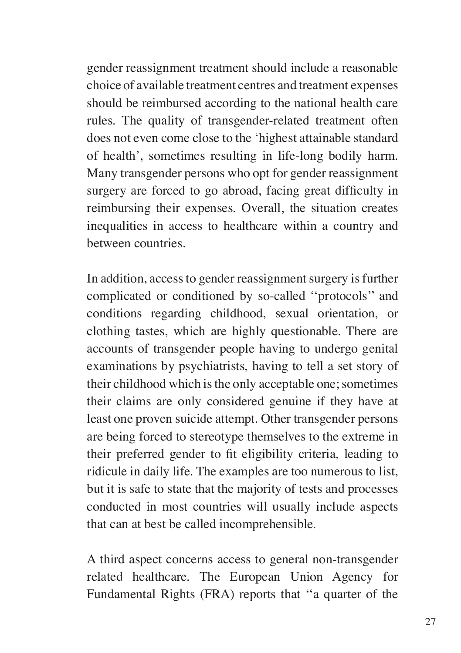gender reassignment treatment should include a reasonable choice of available treatment centres and treatment expenses should be reimbursed according to the national health care rules. The quality of transgender-related treatment often does not even come close to the 'highest attainable standard of health', sometimes resulting in life-long bodily harm. Many transgender persons who opt for gender reassignment surgery are forced to go abroad, facing great difficulty in reimbursing their expenses. Overall, the situation creates inequalities in access to healthcare within a country and between countries.

In addition, access to gender reassignment surgery is further complicated or conditioned by so-called ''protocols'' and conditions regarding childhood, sexual orientation, or clothing tastes, which are highly questionable. There are accounts of transgender people having to undergo genital examinations by psychiatrists, having to tell a set story of their childhood which is the only acceptable one; sometimes their claims are only considered genuine if they have at least one proven suicide attempt. Other transgender persons are being forced to stereotype themselves to the extreme in their preferred gender to fit eligibility criteria, leading to ridicule in daily life. The examples are too numerous to list, but it is safe to state that the majority of tests and processes conducted in most countries will usually include aspects that can at best be called incomprehensible.

A third aspect concerns access to general non-transgender related healthcare. The European Union Agency for Fundamental Rights (FRA) reports that ''a quarter of the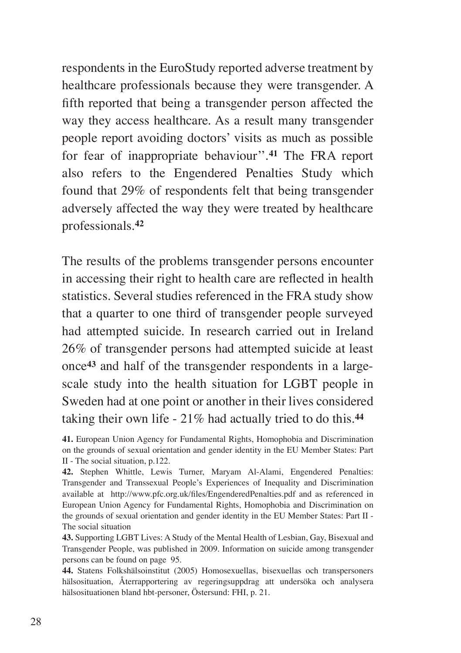respondents in the EuroStudy reported adverse treatment by healthcare professionals because they were transgender. A fifth reported that being a transgender person affected the way they access healthcare. As a result many transgender people report avoiding doctors' visits as much as possible for fear of inappropriate behaviour''.**<sup>41</sup>** The FRA report also refers to the Engendered Penalties Study which found that 29% of respondents felt that being transgender adversely affected the way they were treated by healthcare professionals.**<sup>42</sup>**

The results of the problems transgender persons encounter in accessing their right to health care are reflected in health statistics. Several studies referenced in the FRA study show that a quarter to one third of transgender people surveyed had attempted suicide. In research carried out in Ireland 26% of transgender persons had attempted suicide at least once**43** and half of the transgender respondents in a largescale study into the health situation for LGBT people in Sweden had at one point or another in their lives considered taking their own life - 21% had actually tried to do this.**<sup>44</sup>**

**<sup>41.</sup>** European Union Agency for Fundamental Rights, Homophobia and Discrimination on the grounds of sexual orientation and gender identity in the EU Member States: Part II - The social situation, p.122.

**<sup>42.</sup>** Stephen Whittle, Lewis Turner, Maryam Al-Alami, Engendered Penalties: Transgender and Transsexual People's Experiences of Inequality and Discrimination available at http://www.pfc.org.uk/files/EngenderedPenalties.pdf and as referenced in European Union Agency for Fundamental Rights, Homophobia and Discrimination on the grounds of sexual orientation and gender identity in the EU Member States: Part II - The social situation

**<sup>43.</sup>** Supporting LGBT Lives: A Study of the Mental Health of Lesbian, Gay, Bisexual and Transgender People, was published in 2009. Information on suicide among transgender persons can be found on page 95.

**<sup>44.</sup>** Statens Folkshälsoinstitut (2005) Homosexuellas, bisexuellas och transpersoners hälsosituation, Återrapportering av regeringsuppdrag att undersöka och analysera hälsosituationen bland hbt-personer, Östersund: FHI, p. 21.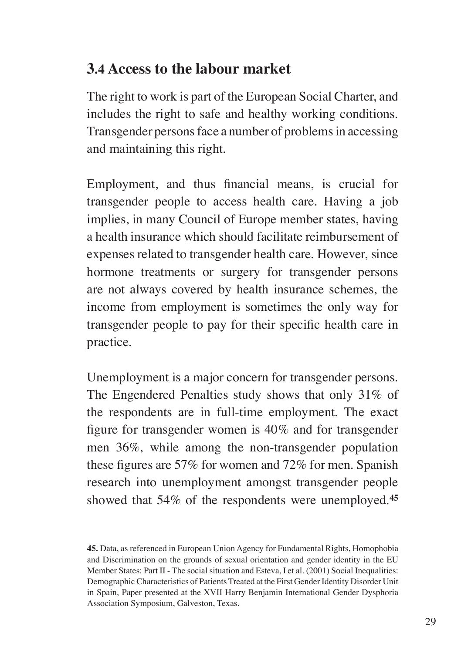#### **3.4 Access to the labour market**

The right to work is part of the European Social Charter, and includes the right to safe and healthy working conditions. Transgender persons face a number of problems in accessing and maintaining this right.

Employment, and thus financial means, is crucial for transgender people to access health care. Having a job implies, in many Council of Europe member states, having a health insurance which should facilitate reimbursement of expenses related to transgender health care. However, since hormone treatments or surgery for transgender persons are not always covered by health insurance schemes, the income from employment is sometimes the only way for transgender people to pay for their specific health care in practice.

Unemployment is a major concern for transgender persons. The Engendered Penalties study shows that only 31% of the respondents are in full-time employment. The exact figure for transgender women is 40% and for transgender men 36%, while among the non-transgender population these figures are 57% for women and 72% for men. Spanish research into unemployment amongst transgender people showed that 54% of the respondents were unemployed.**<sup>45</sup>**

**<sup>45.</sup>** Data, as referenced in European Union Agency for Fundamental Rights, Homophobia and Discrimination on the grounds of sexual orientation and gender identity in the EU Member States: Part II - The social situation and Esteva, I et al. (2001) Social Inequalities: Demographic Characteristics of Patients Treated at the First Gender Identity Disorder Unit in Spain, Paper presented at the XVII Harry Benjamin International Gender Dysphoria Association Symposium, Galveston, Texas.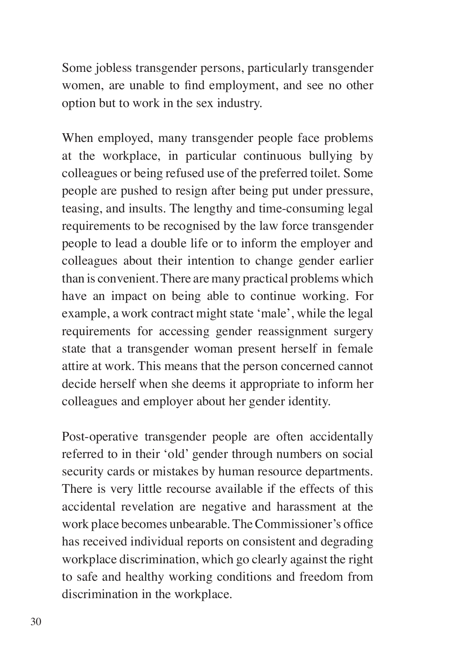Some jobless transgender persons, particularly transgender women, are unable to find employment, and see no other option but to work in the sex industry.

When employed, many transgender people face problems at the workplace, in particular continuous bullying by colleagues or being refused use of the preferred toilet. Some people are pushed to resign after being put under pressure, teasing, and insults. The lengthy and time-consuming legal requirements to be recognised by the law force transgender people to lead a double life or to inform the employer and colleagues about their intention to change gender earlier than is convenient. There are many practical problems which have an impact on being able to continue working. For example, a work contract might state 'male', while the legal requirements for accessing gender reassignment surgery state that a transgender woman present herself in female attire at work. This means that the person concerned cannot decide herself when she deems it appropriate to inform her colleagues and employer about her gender identity.

Post-operative transgender people are often accidentally referred to in their 'old' gender through numbers on social security cards or mistakes by human resource departments. There is very little recourse available if the effects of this accidental revelation are negative and harassment at the work place becomes unbearable. The Commissioner's office has received individual reports on consistent and degrading workplace discrimination, which go clearly against the right to safe and healthy working conditions and freedom from discrimination in the workplace.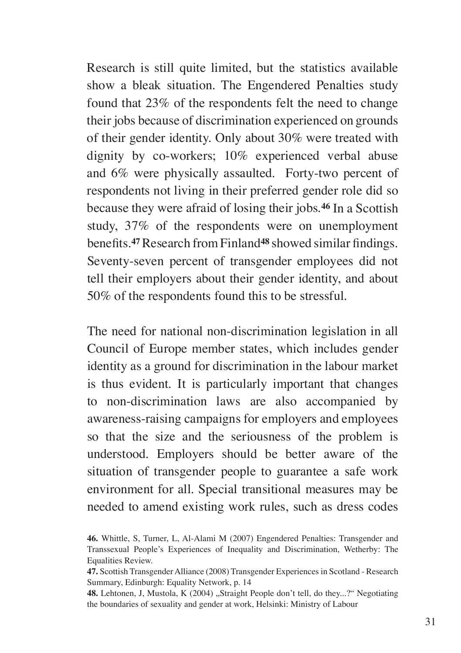Research is still quite limited, but the statistics available show a bleak situation. The Engendered Penalties study found that 23% of the respondents felt the need to change their jobs because of discrimination experienced on grounds of their gender identity. Only about 30% were treated with dignity by co-workers; 10% experienced verbal abuse and 6% were physically assaulted. Forty-two percent of respondents not living in their preferred gender role did so because they were afraid of losing their jobs.**<sup>46</sup>** In a Scottish study, 37% of the respondents were on unemployment benefits.**<sup>47</sup>** Research from Finland**<sup>48</sup>** showed similar findings. Seventy-seven percent of transgender employees did not tell their employers about their gender identity, and about 50% of the respondents found this to be stressful.

The need for national non-discrimination legislation in all Council of Europe member states, which includes gender identity as a ground for discrimination in the labour market is thus evident. It is particularly important that changes to non-discrimination laws are also accompanied by awareness-raising campaigns for employers and employees so that the size and the seriousness of the problem is understood. Employers should be better aware of the situation of transgender people to guarantee a safe work environment for all. Special transitional measures may be needed to amend existing work rules, such as dress codes

**<sup>46.</sup>** Whittle, S, Turner, L, Al-Alami M (2007) Engendered Penalties: Transgender and Transsexual People's Experiences of Inequality and Discrimination, Wetherby: The Equalities Review.

**<sup>47.</sup>** Scottish Transgender Alliance (2008) Transgender Experiences in Scotland - Research Summary, Edinburgh: Equality Network, p. 14

**<sup>48.</sup>** Lehtonen, J, Mustola, K (2004) "Straight People don't tell, do they...?" Negotiating the boundaries of sexuality and gender at work, Helsinki: Ministry of Labour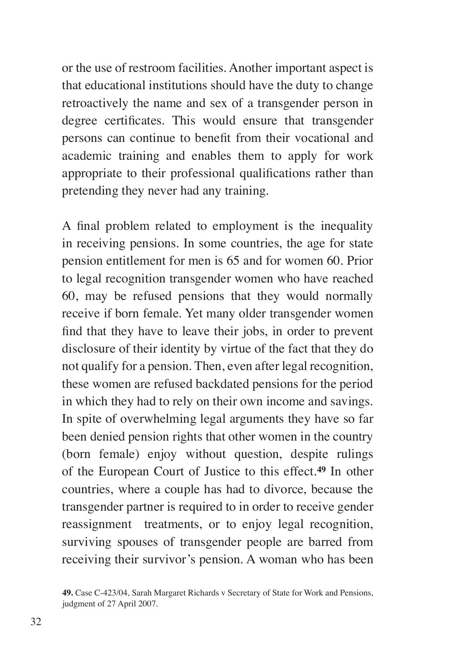or the use of restroom facilities. Another important aspect is that educational institutions should have the duty to change retroactively the name and sex of a transgender person in degree certificates. This would ensure that transgender persons can continue to benefit from their vocational and academic training and enables them to apply for work appropriate to their professional qualifications rather than pretending they never had any training.

A final problem related to employment is the inequality in receiving pensions. In some countries, the age for state pension entitlement for men is 65 and for women 60. Prior to legal recognition transgender women who have reached 60, may be refused pensions that they would normally receive if born female. Yet many older transgender women find that they have to leave their jobs, in order to prevent disclosure of their identity by virtue of the fact that they do not qualify for a pension. Then, even after legal recognition, these women are refused backdated pensions for the period in which they had to rely on their own income and savings. In spite of overwhelming legal arguments they have so far been denied pension rights that other women in the country (born female) enjoy without question, despite rulings of the European Court of Justice to this effect.**<sup>49</sup>** In other countries, where a couple has had to divorce, because the transgender partner is required to in order to receive gender reassignment treatments, or to enjoy legal recognition, surviving spouses of transgender people are barred from receiving their survivor's pension. A woman who has been

**<sup>49.</sup>** Case C-423/04, Sarah Margaret Richards v Secretary of State for Work and Pensions, judgment of 27 April 2007.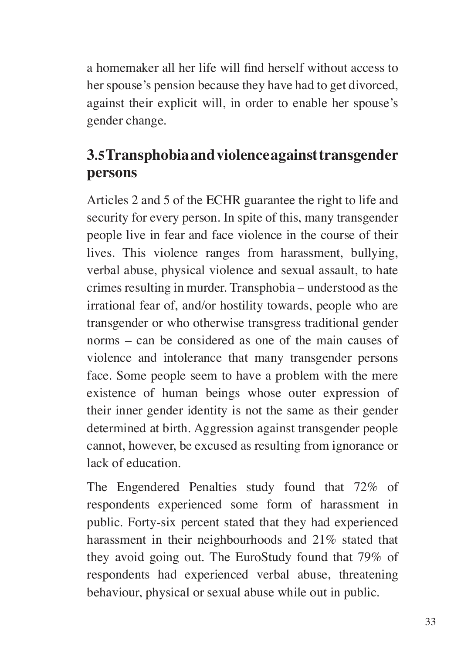a homemaker all her life will find herself without access to her spouse's pension because they have had to get divorced, against their explicit will, in order to enable her spouse's gender change.

#### **3.5 Transphobia and violence against transgender persons**

Articles 2 and 5 of the ECHR guarantee the right to life and security for every person. In spite of this, many transgender people live in fear and face violence in the course of their lives. This violence ranges from harassment, bullying, verbal abuse, physical violence and sexual assault, to hate crimes resulting in murder. Transphobia – understood as the irrational fear of, and/or hostility towards, people who are transgender or who otherwise transgress traditional gender norms – can be considered as one of the main causes of violence and intolerance that many transgender persons face. Some people seem to have a problem with the mere existence of human beings whose outer expression of their inner gender identity is not the same as their gender determined at birth. Aggression against transgender people cannot, however, be excused as resulting from ignorance or lack of education.

The Engendered Penalties study found that 72% of respondents experienced some form of harassment in public. Forty-six percent stated that they had experienced harassment in their neighbourhoods and 21% stated that they avoid going out. The EuroStudy found that 79% of respondents had experienced verbal abuse, threatening behaviour, physical or sexual abuse while out in public.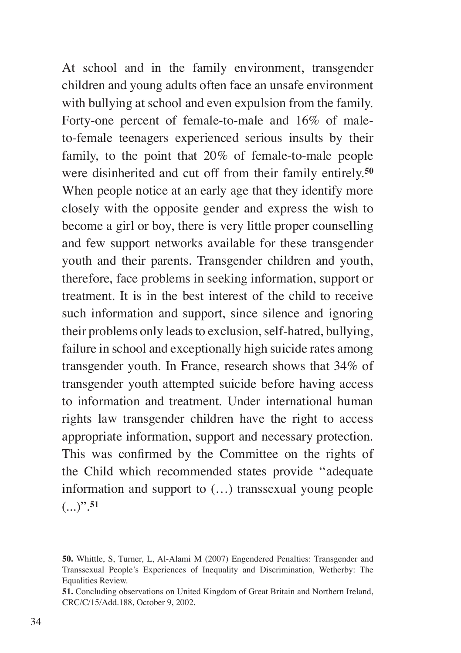At school and in the family environment, transgender children and young adults often face an unsafe environment with bullying at school and even expulsion from the family. Forty-one percent of female-to-male and 16% of maleto-female teenagers experienced serious insults by their family, to the point that 20% of female-to-male people were disinherited and cut off from their family entirely.**<sup>50</sup>** When people notice at an early age that they identify more closely with the opposite gender and express the wish to become a girl or boy, there is very little proper counselling and few support networks available for these transgender youth and their parents. Transgender children and youth, therefore, face problems in seeking information, support or treatment. It is in the best interest of the child to receive such information and support, since silence and ignoring their problems only leads to exclusion, self-hatred, bullying, failure in school and exceptionally high suicide rates among transgender youth. In France, research shows that 34% of transgender youth attempted suicide before having access to information and treatment. Under international human rights law transgender children have the right to access appropriate information, support and necessary protection. This was confirmed by the Committee on the rights of the Child which recommended states provide ''adequate information and support to (…) transsexual young people  $(...)$ <sup>".51</sup>

**<sup>50.</sup>** Whittle, S, Turner, L, Al-Alami M (2007) Engendered Penalties: Transgender and Transsexual People's Experiences of Inequality and Discrimination, Wetherby: The Equalities Review.

**<sup>51.</sup>** Concluding observations on United Kingdom of Great Britain and Northern Ireland, CRC/C/15/Add.188, October 9, 2002.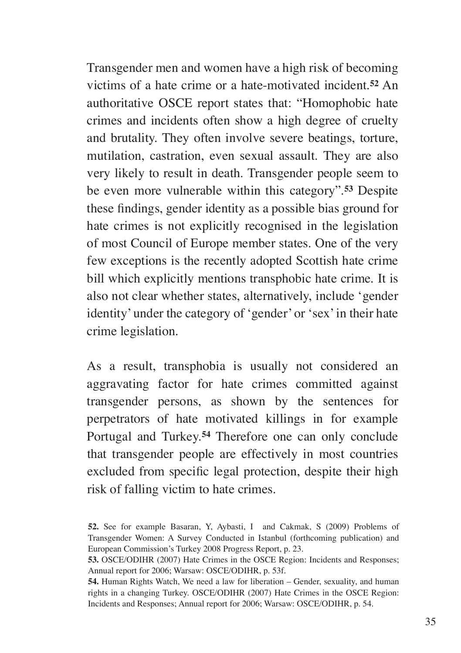Transgender men and women have a high risk of becoming victims of a hate crime or a hate-motivated incident.**<sup>52</sup>** An authoritative OSCE report states that: "Homophobic hate crimes and incidents often show a high degree of cruelty and brutality. They often involve severe beatings, torture, mutilation, castration, even sexual assault. They are also very likely to result in death. Transgender people seem to be even more vulnerable within this category".**<sup>53</sup>** Despite these findings, gender identity as a possible bias ground for hate crimes is not explicitly recognised in the legislation of most Council of Europe member states. One of the very few exceptions is the recently adopted Scottish hate crime bill which explicitly mentions transphobic hate crime. It is also not clear whether states, alternatively, include 'gender identity' under the category of 'gender' or 'sex' in their hate crime legislation.

As a result, transphobia is usually not considered an aggravating factor for hate crimes committed against transgender persons, as shown by the sentences for perpetrators of hate motivated killings in for example Portugal and Turkey.**<sup>54</sup>** Therefore one can only conclude that transgender people are effectively in most countries excluded from specific legal protection, despite their high risk of falling victim to hate crimes.

**<sup>52.</sup>** See for example Basaran, Y, Aybasti, I and Cakmak, S (2009) Problems of Transgender Women: A Survey Conducted in Istanbul (forthcoming publication) and European Commission's Turkey 2008 Progress Report, p. 23.

**<sup>53.</sup>** OSCE/ODIHR (2007) Hate Crimes in the OSCE Region: Incidents and Responses; Annual report for 2006; Warsaw: OSCE/ODIHR, p. 53f.

**<sup>54.</sup>** Human Rights Watch, We need a law for liberation – Gender, sexuality, and human rights in a changing Turkey. OSCE/ODIHR (2007) Hate Crimes in the OSCE Region: Incidents and Responses; Annual report for 2006; Warsaw: OSCE/ODIHR, p. 54.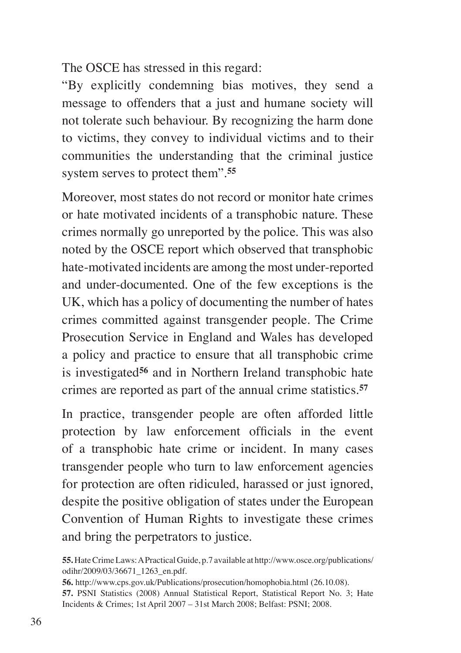The OSCE has stressed in this regard:

"By explicitly condemning bias motives, they send a message to offenders that a just and humane society will not tolerate such behaviour. By recognizing the harm done to victims, they convey to individual victims and to their communities the understanding that the criminal justice system serves to protect them".**<sup>55</sup>**

Moreover, most states do not record or monitor hate crimes or hate motivated incidents of a transphobic nature. These crimes normally go unreported by the police. This was also noted by the OSCE report which observed that transphobic hate-motivated incidents are among the most under-reported and under-documented. One of the few exceptions is the UK, which has a policy of documenting the number of hates crimes committed against transgender people. The Crime Prosecution Service in England and Wales has developed a policy and practice to ensure that all transphobic crime is investigated**<sup>56</sup>** and in Northern Ireland transphobic hate crimes are reported as part of the annual crime statistics.**<sup>57</sup>**

In practice, transgender people are often afforded little protection by law enforcement officials in the event of a transphobic hate crime or incident. In many cases transgender people who turn to law enforcement agencies for protection are often ridiculed, harassed or just ignored, despite the positive obligation of states under the European Convention of Human Rights to investigate these crimes and bring the perpetrators to justice.

**55.** Hate Crime Laws: A Practical Guide, p.7 available at http://www.osce.org/publications/ odihr/2009/03/36671\_1263\_en.pdf.

**56.** http://www.cps.gov.uk/Publications/prosecution/homophobia.html (26.10.08).

**57.** PSNI Statistics (2008) Annual Statistical Report, Statistical Report No. 3; Hate Incidents & Crimes; 1st April 2007 – 31st March 2008; Belfast: PSNI; 2008.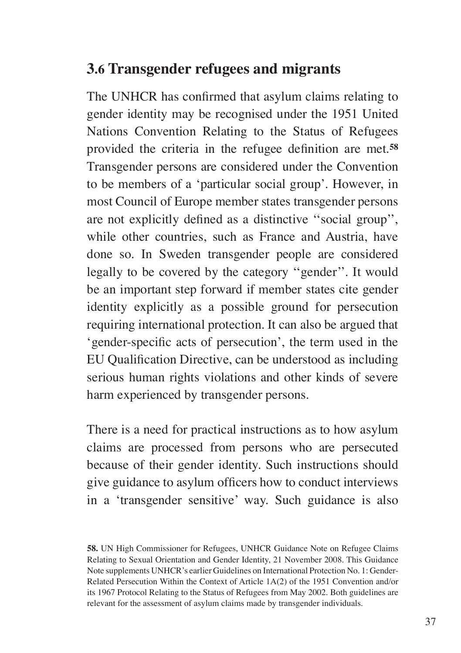#### **3.6 Transgender refugees and migrants**

The UNHCR has confirmed that asylum claims relating to gender identity may be recognised under the 1951 United Nations Convention Relating to the Status of Refugees provided the criteria in the refugee definition are met.**<sup>58</sup>** Transgender persons are considered under the Convention to be members of a 'particular social group'. However, in most Council of Europe member states transgender persons are not explicitly defined as a distinctive ''social group'', while other countries, such as France and Austria, have done so. In Sweden transgender people are considered legally to be covered by the category ''gender''. It would be an important step forward if member states cite gender identity explicitly as a possible ground for persecution requiring international protection. It can also be argued that 'gender-specific acts of persecution', the term used in the EU Qualification Directive, can be understood as including serious human rights violations and other kinds of severe harm experienced by transgender persons.

There is a need for practical instructions as to how asylum claims are processed from persons who are persecuted because of their gender identity. Such instructions should give guidance to asylum officers how to conduct interviews in a 'transgender sensitive' way. Such guidance is also

**58.** UN High Commissioner for Refugees, UNHCR Guidance Note on Refugee Claims Relating to Sexual Orientation and Gender Identity, 21 November 2008. This Guidance Note supplements UNHCR's earlier Guidelines on International Protection No. 1: Gender-Related Persecution Within the Context of Article 1A(2) of the 1951 Convention and/or its 1967 Protocol Relating to the Status of Refugees from May 2002. Both guidelines are relevant for the assessment of asylum claims made by transgender individuals.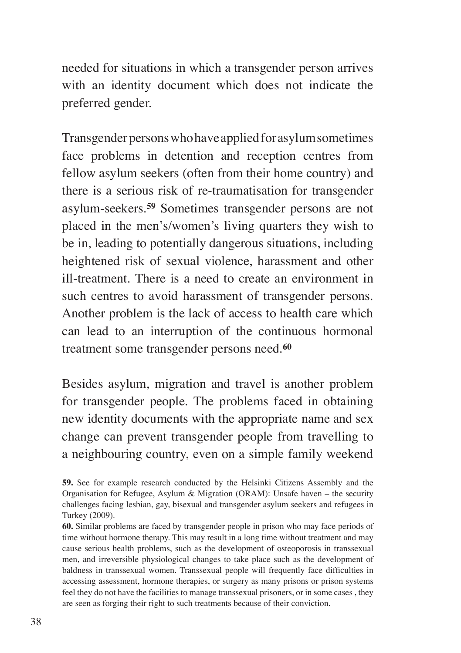needed for situations in which a transgender person arrives with an identity document which does not indicate the preferred gender.

Transgender persons who have applied for asylum sometimes face problems in detention and reception centres from fellow asylum seekers (often from their home country) and there is a serious risk of re-traumatisation for transgender asylum-seekers.**<sup>59</sup>** Sometimes transgender persons are not placed in the men's/women's living quarters they wish to be in, leading to potentially dangerous situations, including heightened risk of sexual violence, harassment and other ill-treatment. There is a need to create an environment in such centres to avoid harassment of transgender persons. Another problem is the lack of access to health care which can lead to an interruption of the continuous hormonal treatment some transgender persons need.**<sup>60</sup>**

Besides asylum, migration and travel is another problem for transgender people. The problems faced in obtaining new identity documents with the appropriate name and sex change can prevent transgender people from travelling to a neighbouring country, even on a simple family weekend

**<sup>59.</sup>** See for example research conducted by the Helsinki Citizens Assembly and the Organisation for Refugee, Asylum & Migration (ORAM): Unsafe haven – the security challenges facing lesbian, gay, bisexual and transgender asylum seekers and refugees in Turkey (2009).

**<sup>60.</sup>** Similar problems are faced by transgender people in prison who may face periods of time without hormone therapy. This may result in a long time without treatment and may cause serious health problems, such as the development of osteoporosis in transsexual men, and irreversible physiological changes to take place such as the development of baldness in transsexual women. Transsexual people will frequently face difficulties in accessing assessment, hormone therapies, or surgery as many prisons or prison systems feel they do not have the facilities to manage transsexual prisoners, or in some cases , they are seen as forging their right to such treatments because of their conviction.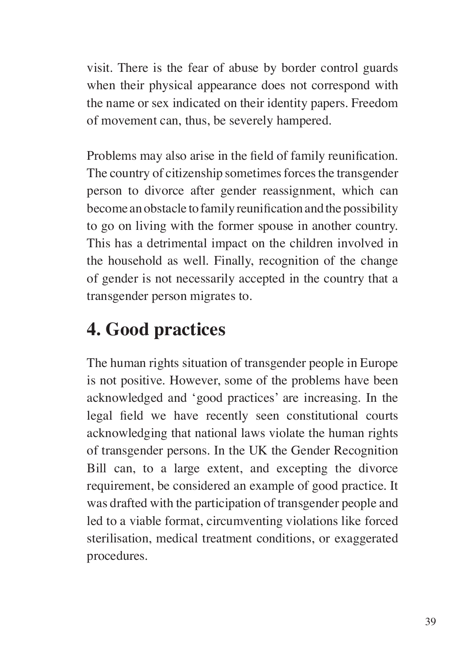visit. There is the fear of abuse by border control guards when their physical appearance does not correspond with the name or sex indicated on their identity papers. Freedom of movement can, thus, be severely hampered.

Problems may also arise in the field of family reunification. The country of citizenship sometimes forces the transgender person to divorce after gender reassignment, which can become an obstacle to family reunification and the possibility to go on living with the former spouse in another country. This has a detrimental impact on the children involved in the household as well. Finally, recognition of the change of gender is not necessarily accepted in the country that a transgender person migrates to.

## **4. Good practices**

The human rights situation of transgender people in Europe is not positive. However, some of the problems have been acknowledged and 'good practices' are increasing. In the legal field we have recently seen constitutional courts acknowledging that national laws violate the human rights of transgender persons. In the UK the Gender Recognition Bill can, to a large extent, and excepting the divorce requirement, be considered an example of good practice. It was drafted with the participation of transgender people and led to a viable format, circumventing violations like forced sterilisation, medical treatment conditions, or exaggerated procedures.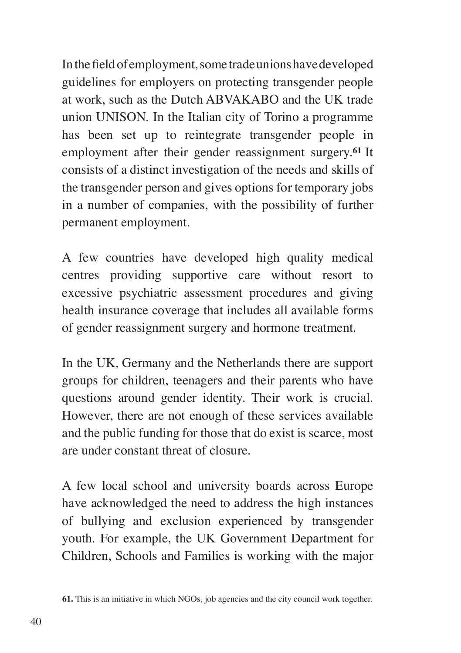In the field of employment, some trade unions have developed guidelines for employers on protecting transgender people at work, such as the Dutch ABVAKABO and the UK trade union UNISON. In the Italian city of Torino a programme has been set up to reintegrate transgender people in employment after their gender reassignment surgery.**<sup>61</sup>** It consists of a distinct investigation of the needs and skills of the transgender person and gives options for temporary jobs in a number of companies, with the possibility of further permanent employment.

A few countries have developed high quality medical centres providing supportive care without resort to excessive psychiatric assessment procedures and giving health insurance coverage that includes all available forms of gender reassignment surgery and hormone treatment.

In the UK, Germany and the Netherlands there are support groups for children, teenagers and their parents who have questions around gender identity. Their work is crucial. However, there are not enough of these services available and the public funding for those that do exist is scarce, most are under constant threat of closure.

A few local school and university boards across Europe have acknowledged the need to address the high instances of bullying and exclusion experienced by transgender youth. For example, the UK Government Department for Children, Schools and Families is working with the major

**<sup>61.</sup>** This is an initiative in which NGOs, job agencies and the city council work together.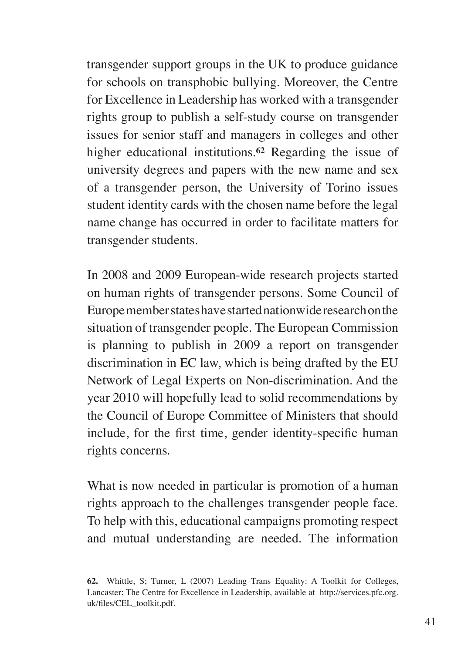transgender support groups in the UK to produce guidance for schools on transphobic bullying. Moreover, the Centre for Excellence in Leadership has worked with a transgender rights group to publish a self-study course on transgender issues for senior staff and managers in colleges and other higher educational institutions.**<sup>62</sup>** Regarding the issue of university degrees and papers with the new name and sex of a transgender person, the University of Torino issues student identity cards with the chosen name before the legal name change has occurred in order to facilitate matters for transgender students.

In 2008 and 2009 European-wide research projects started on human rights of transgender persons. Some Council of Europe member states have started nationwide research on the situation of transgender people. The European Commission is planning to publish in 2009 a report on transgender discrimination in EC law, which is being drafted by the EU Network of Legal Experts on Non-discrimination. And the year 2010 will hopefully lead to solid recommendations by the Council of Europe Committee of Ministers that should include, for the first time, gender identity-specific human rights concerns.

What is now needed in particular is promotion of a human rights approach to the challenges transgender people face. To help with this, educational campaigns promoting respect and mutual understanding are needed. The information

**<sup>62.</sup>** Whittle, S; Turner, L (2007) Leading Trans Equality: A Toolkit for Colleges, Lancaster: The Centre for Excellence in Leadership, available at http://services.pfc.org. uk/files/CEL\_toolkit.pdf.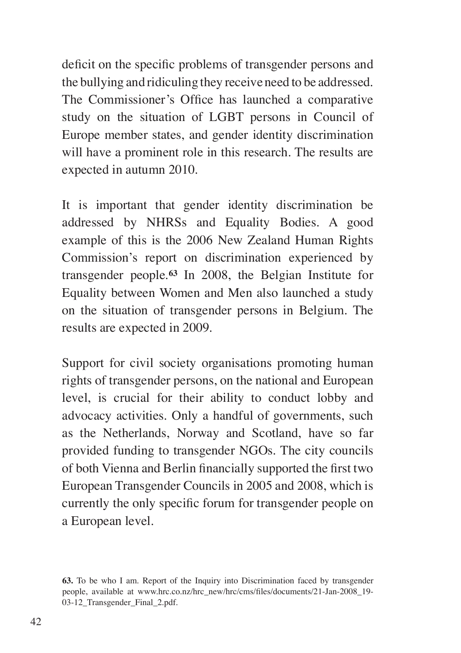deficit on the specific problems of transgender persons and the bullying and ridiculing they receive need to be addressed. The Commissioner's Office has launched a comparative study on the situation of LGBT persons in Council of Europe member states, and gender identity discrimination will have a prominent role in this research. The results are expected in autumn 2010.

It is important that gender identity discrimination be addressed by NHRSs and Equality Bodies. A good example of this is the 2006 New Zealand Human Rights Commission's report on discrimination experienced by transgender people.**<sup>63</sup>** In 2008, the Belgian Institute for Equality between Women and Men also launched a study on the situation of transgender persons in Belgium. The results are expected in 2009.

Support for civil society organisations promoting human rights of transgender persons, on the national and European level, is crucial for their ability to conduct lobby and advocacy activities. Only a handful of governments, such as the Netherlands, Norway and Scotland, have so far provided funding to transgender NGOs. The city councils of both Vienna and Berlin financially supported the first two European Transgender Councils in 2005 and 2008, which is currently the only specific forum for transgender people on a European level.

**<sup>63.</sup>** To be who I am. Report of the Inquiry into Discrimination faced by transgender people, available at www.hrc.co.nz/hrc\_new/hrc/cms/files/documents/21-Jan-2008\_19- 03-12 Transgender Final 2.pdf.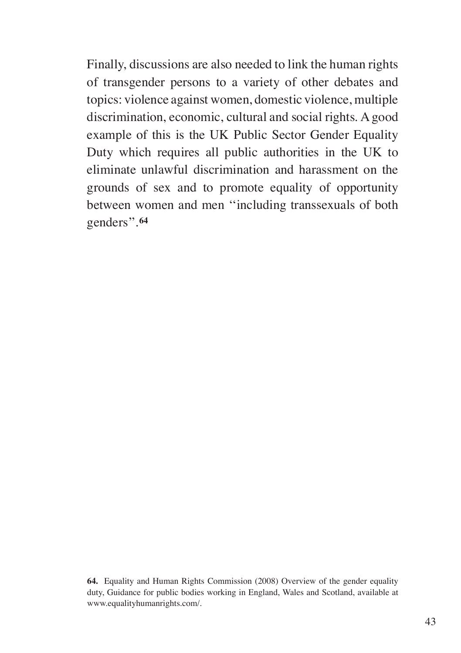Finally, discussions are also needed to link the human rights of transgender persons to a variety of other debates and topics: violence against women, domestic violence, multiple discrimination, economic, cultural and social rights. A good example of this is the UK Public Sector Gender Equality Duty which requires all public authorities in the UK to eliminate unlawful discrimination and harassment on the grounds of sex and to promote equality of opportunity between women and men ''including transsexuals of both genders''.**<sup>64</sup>**

**64.** Equality and Human Rights Commission (2008) Overview of the gender equality duty, Guidance for public bodies working in England, Wales and Scotland, available at www.equalityhumanrights.com/.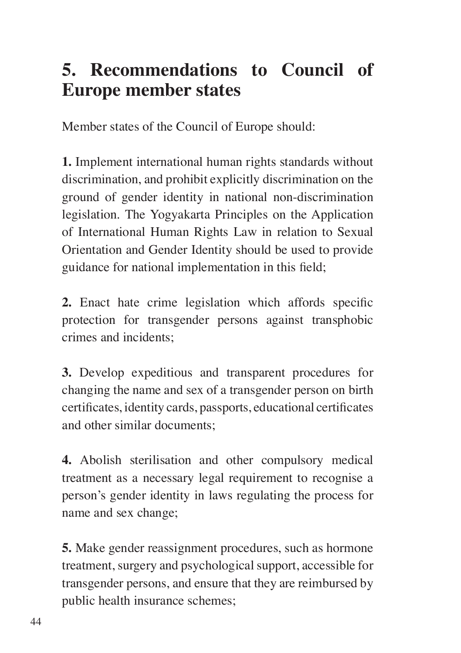## **5. Recommendations to Council of Europe member states**

Member states of the Council of Europe should:

**1.** Implement international human rights standards without discrimination, and prohibit explicitly discrimination on the ground of gender identity in national non-discrimination legislation. The Yogyakarta Principles on the Application of International Human Rights Law in relation to Sexual Orientation and Gender Identity should be used to provide guidance for national implementation in this field;

**2.** Enact hate crime legislation which affords specific protection for transgender persons against transphobic crimes and incidents;

**3.** Develop expeditious and transparent procedures for changing the name and sex of a transgender person on birth certificates, identity cards, passports, educational certificates and other similar documents;

**4.** Abolish sterilisation and other compulsory medical treatment as a necessary legal requirement to recognise a person's gender identity in laws regulating the process for name and sex change;

**5.** Make gender reassignment procedures, such as hormone treatment, surgery and psychological support, accessible for transgender persons, and ensure that they are reimbursed by public health insurance schemes;